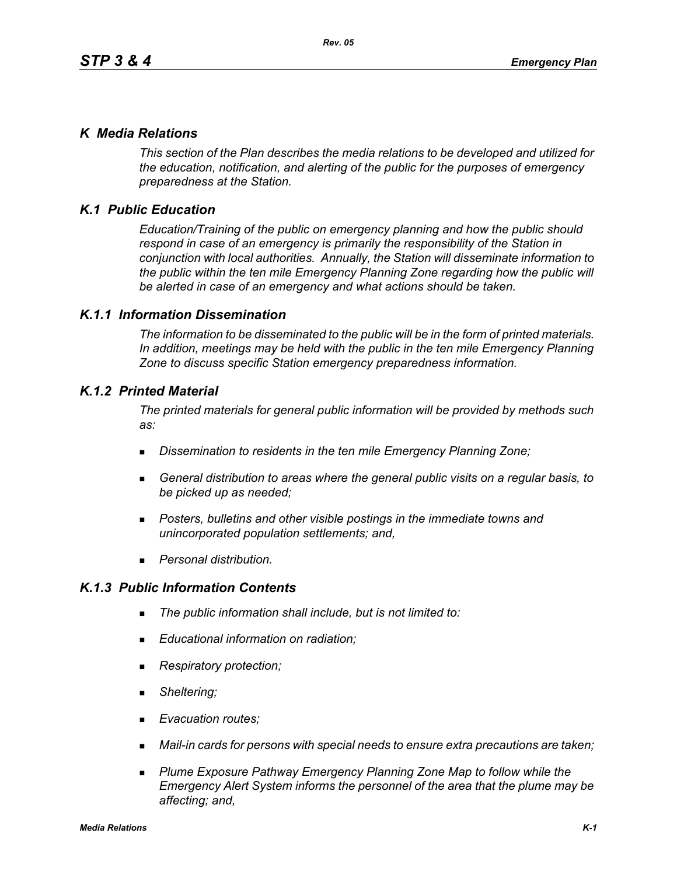## *K Media Relations*

*This section of the Plan describes the media relations to be developed and utilized for the education, notification, and alerting of the public for the purposes of emergency preparedness at the Station.*

# *K.1 Public Education*

*Education/Training of the public on emergency planning and how the public should respond in case of an emergency is primarily the responsibility of the Station in conjunction with local authorities. Annually, the Station will disseminate information to the public within the ten mile Emergency Planning Zone regarding how the public will be alerted in case of an emergency and what actions should be taken.* 

## *K.1.1 Information Dissemination*

*The information to be disseminated to the public will be in the form of printed materials. In addition, meetings may be held with the public in the ten mile Emergency Planning Zone to discuss specific Station emergency preparedness information.* 

## *K.1.2 Printed Material*

*The printed materials for general public information will be provided by methods such as:* 

- *Dissemination to residents in the ten mile Emergency Planning Zone;*
- *General distribution to areas where the general public visits on a regular basis, to be picked up as needed;*
- *Posters, bulletins and other visible postings in the immediate towns and unincorporated population settlements; and,*
- *Personal distribution.*

## *K.1.3 Public Information Contents*

- *The public information shall include, but is not limited to:*
- *Educational information on radiation;*
- *Respiratory protection;*
- *Sheltering;*
- *Evacuation routes;*
- *Mail-in cards for persons with special needs to ensure extra precautions are taken;*
- **Plume Exposure Pathway Emergency Planning Zone Map to follow while the** *Emergency Alert System informs the personnel of the area that the plume may be affecting; and,*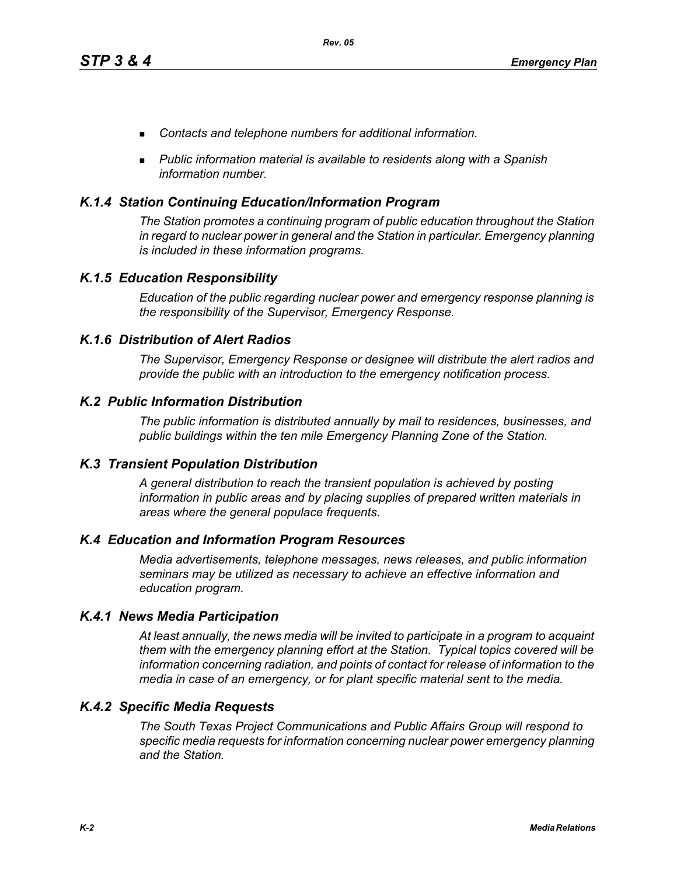- *Contacts and telephone numbers for additional information.*
- *Public information material is available to residents along with a Spanish information number.*

## *K.1.4 Station Continuing Education/Information Program*

*The Station promotes a continuing program of public education throughout the Station in regard to nuclear power in general and the Station in particular. Emergency planning is included in these information programs.* 

## *K.1.5 Education Responsibility*

*Education of the public regarding nuclear power and emergency response planning is the responsibility of the Supervisor, Emergency Response.* 

## *K.1.6 Distribution of Alert Radios*

*The Supervisor, Emergency Response or designee will distribute the alert radios and provide the public with an introduction to the emergency notification process.* 

## *K.2 Public Information Distribution*

*The public information is distributed annually by mail to residences, businesses, and public buildings within the ten mile Emergency Planning Zone of the Station.*

## *K.3 Transient Population Distribution*

*A general distribution to reach the transient population is achieved by posting information in public areas and by placing supplies of prepared written materials in areas where the general populace frequents.* 

## *K.4 Education and Information Program Resources*

*Media advertisements, telephone messages, news releases, and public information seminars may be utilized as necessary to achieve an effective information and education program.* 

## *K.4.1 News Media Participation*

*At least annually, the news media will be invited to participate in a program to acquaint them with the emergency planning effort at the Station. Typical topics covered will be information concerning radiation, and points of contact for release of information to the media in case of an emergency, or for plant specific material sent to the media.*

## *K.4.2 Specific Media Requests*

*The South Texas Project Communications and Public Affairs Group will respond to specific media requests for information concerning nuclear power emergency planning and the Station.*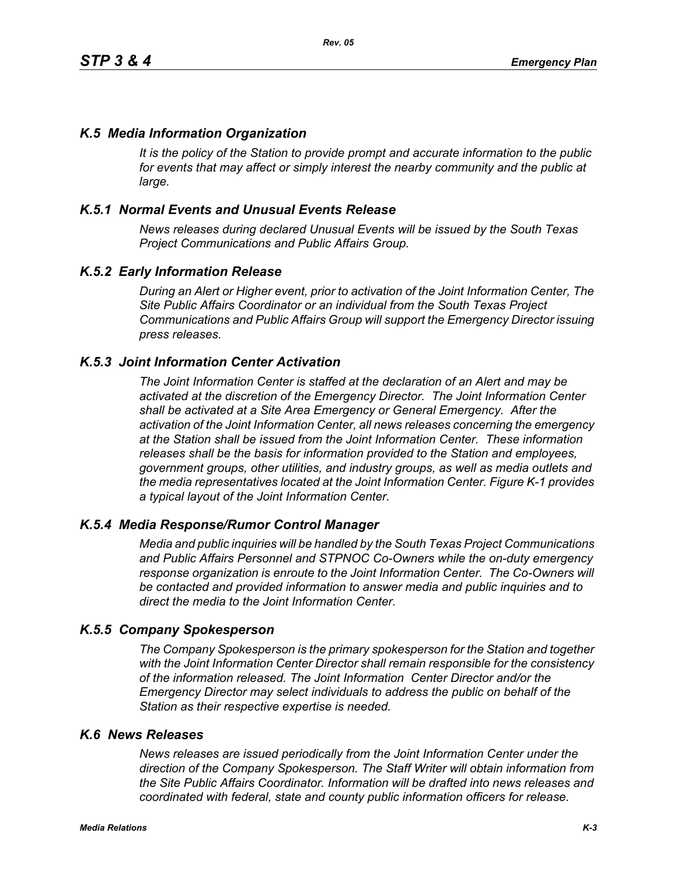## *K.5 Media Information Organization*

*It is the policy of the Station to provide prompt and accurate information to the public*  for events that may affect or simply interest the nearby community and the public at *large.* 

## *K.5.1 Normal Events and Unusual Events Release*

*News releases during declared Unusual Events will be issued by the South Texas Project Communications and Public Affairs Group.* 

## *K.5.2 Early Information Release*

*During an Alert or Higher event, prior to activation of the Joint Information Center, The Site Public Affairs Coordinator or an individual from the South Texas Project Communications and Public Affairs Group will support the Emergency Director issuing press releases.* 

#### *K.5.3 Joint Information Center Activation*

*The Joint Information Center is staffed at the declaration of an Alert and may be activated at the discretion of the Emergency Director. The Joint Information Center shall be activated at a Site Area Emergency or General Emergency. After the activation of the Joint Information Center, all news releases concerning the emergency at the Station shall be issued from the Joint Information Center. These information releases shall be the basis for information provided to the Station and employees, government groups, other utilities, and industry groups, as well as media outlets and the media representatives located at the Joint Information Center. Figure K-1 provides a typical layout of the Joint Information Center.* 

## *K.5.4 Media Response/Rumor Control Manager*

*Media and public inquiries will be handled by the South Texas Project Communications and Public Affairs Personnel and STPNOC Co-Owners while the on-duty emergency response organization is enroute to the Joint Information Center. The Co-Owners will be contacted and provided information to answer media and public inquiries and to direct the media to the Joint Information Center.*

#### *K.5.5 Company Spokesperson*

*The Company Spokesperson is the primary spokesperson for the Station and together with the Joint Information Center Director shall remain responsible for the consistency of the information released. The Joint Information Center Director and/or the Emergency Director may select individuals to address the public on behalf of the Station as their respective expertise is needed.* 

#### *K.6 News Releases*

*News releases are issued periodically from the Joint Information Center under the direction of the Company Spokesperson. The Staff Writer will obtain information from the Site Public Affairs Coordinator. Information will be drafted into news releases and coordinated with federal, state and county public information officers for release.*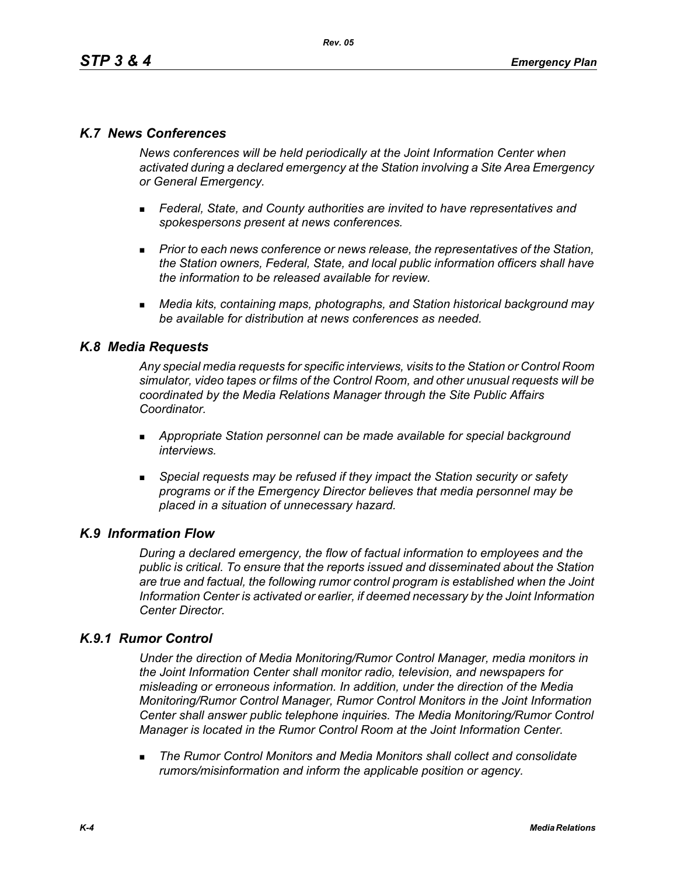## *K.7 News Conferences*

*News conferences will be held periodically at the Joint Information Center when activated during a declared emergency at the Station involving a Site Area Emergency or General Emergency.* 

- *Federal, State, and County authorities are invited to have representatives and spokespersons present at news conferences.*
- **Prior to each news conference or news release, the representatives of the Station,** *the Station owners, Federal, State, and local public information officers shall have the information to be released available for review.*
- *Media kits, containing maps, photographs, and Station historical background may be available for distribution at news conferences as needed.*

## *K.8 Media Requests*

*Any special media requests for specific interviews, visits to the Station or Control Room simulator, video tapes or films of the Control Room, and other unusual requests will be coordinated by the Media Relations Manager through the Site Public Affairs Coordinator.* 

- *Appropriate Station personnel can be made available for special background interviews.*
- *Special requests may be refused if they impact the Station security or safety programs or if the Emergency Director believes that media personnel may be placed in a situation of unnecessary hazard.*

## *K.9 Information Flow*

*During a declared emergency, the flow of factual information to employees and the public is critical. To ensure that the reports issued and disseminated about the Station are true and factual, the following rumor control program is established when the Joint Information Center is activated or earlier, if deemed necessary by the Joint Information Center Director.* 

## *K.9.1 Rumor Control*

*Under the direction of Media Monitoring/Rumor Control Manager, media monitors in the Joint Information Center shall monitor radio, television, and newspapers for misleading or erroneous information. In addition, under the direction of the Media Monitoring/Rumor Control Manager, Rumor Control Monitors in the Joint Information Center shall answer public telephone inquiries. The Media Monitoring/Rumor Control Manager is located in the Rumor Control Room at the Joint Information Center.* 

 *The Rumor Control Monitors and Media Monitors shall collect and consolidate rumors/misinformation and inform the applicable position or agency.*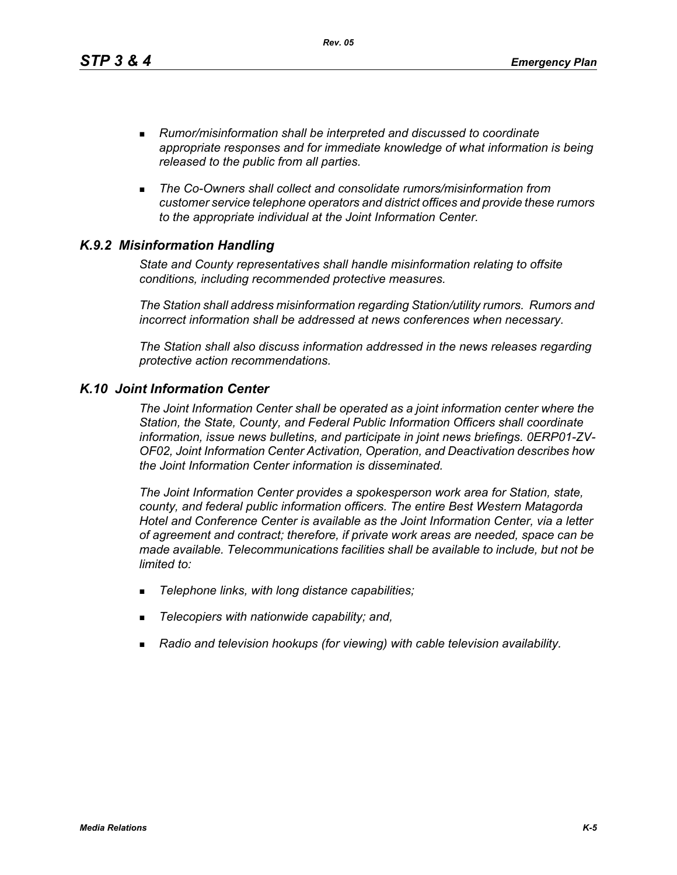*Rev. 05*

- *Rumor/misinformation shall be interpreted and discussed to coordinate appropriate responses and for immediate knowledge of what information is being released to the public from all parties.*
- *The Co-Owners shall collect and consolidate rumors/misinformation from customer service telephone operators and district offices and provide these rumors to the appropriate individual at the Joint Information Center.*

# *K.9.2 Misinformation Handling*

*State and County representatives shall handle misinformation relating to offsite conditions, including recommended protective measures.* 

*The Station shall address misinformation regarding Station/utility rumors. Rumors and incorrect information shall be addressed at news conferences when necessary.* 

*The Station shall also discuss information addressed in the news releases regarding protective action recommendations.* 

## *K.10 Joint Information Center*

*The Joint Information Center shall be operated as a joint information center where the Station, the State, County, and Federal Public Information Officers shall coordinate information, issue news bulletins, and participate in joint news briefings. 0ERP01-ZV-OF02, Joint Information Center Activation, Operation, and Deactivation describes how the Joint Information Center information is disseminated.*

*The Joint Information Center provides a spokesperson work area for Station, state, county, and federal public information officers. The entire Best Western Matagorda Hotel and Conference Center is available as the Joint Information Center, via a letter of agreement and contract; therefore, if private work areas are needed, space can be made available. Telecommunications facilities shall be available to include, but not be limited to:* 

- *Telephone links, with long distance capabilities;*
- *Telecopiers with nationwide capability; and,*
- *Radio and television hookups (for viewing) with cable television availability.*